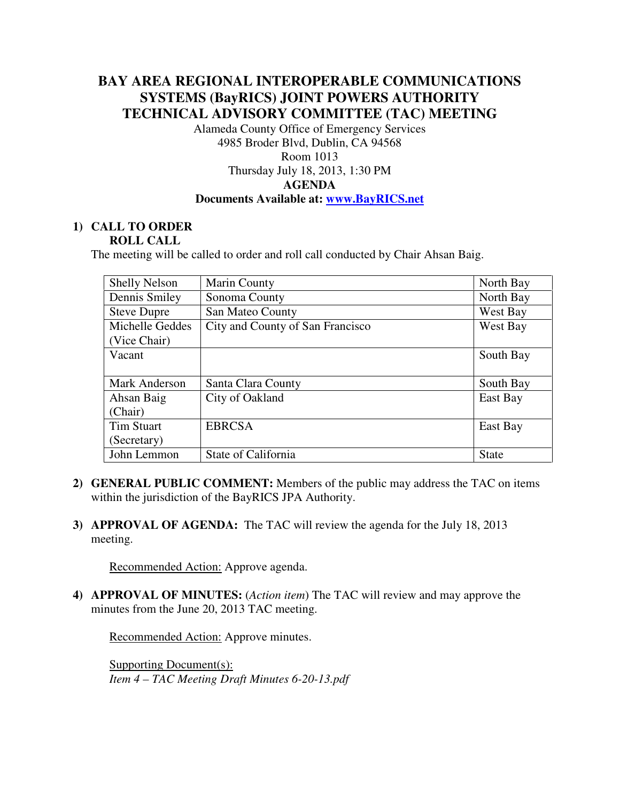# **BAY AREA REGIONAL INTEROPERABLE COMMUNICATIONS SYSTEMS (BayRICS) JOINT POWERS AUTHORITY TECHNICAL ADVISORY COMMITTEE (TAC) MEETING**

Alameda County Office of Emergency Services 4985 Broder Blvd, Dublin, CA 94568 Room 1013

# Thursday July 18, 2013, 1:30 PM **AGENDA Documents Available at: www.BayRICS.net**

#### **1) CALL TO ORDER ROLL CALL**

The meeting will be called to order and roll call conducted by Chair Ahsan Baig.

| <b>Shelly Nelson</b> | Marin County                     | North Bay    |
|----------------------|----------------------------------|--------------|
| Dennis Smiley        | Sonoma County                    | North Bay    |
| <b>Steve Dupre</b>   | San Mateo County                 | West Bay     |
| Michelle Geddes      | City and County of San Francisco | West Bay     |
| (Vice Chair)         |                                  |              |
| Vacant               |                                  | South Bay    |
|                      |                                  |              |
| Mark Anderson        | Santa Clara County               | South Bay    |
| Ahsan Baig           | City of Oakland                  | East Bay     |
| (Chair)              |                                  |              |
| Tim Stuart           | <b>EBRCSA</b>                    | East Bay     |
| (Secretary)          |                                  |              |
| John Lemmon          | State of California              | <b>State</b> |

- **2) GENERAL PUBLIC COMMENT:** Members of the public may address the TAC on items within the jurisdiction of the BayRICS JPA Authority.
- **3) APPROVAL OF AGENDA:** The TAC will review the agenda for the July 18, 2013 meeting.

Recommended Action: Approve agenda.

**4) APPROVAL OF MINUTES:** (*Action item*) The TAC will review and may approve the minutes from the June 20, 2013 TAC meeting.

Recommended Action: Approve minutes.

Supporting Document(s): *Item 4 – TAC Meeting Draft Minutes 6-20-13.pdf*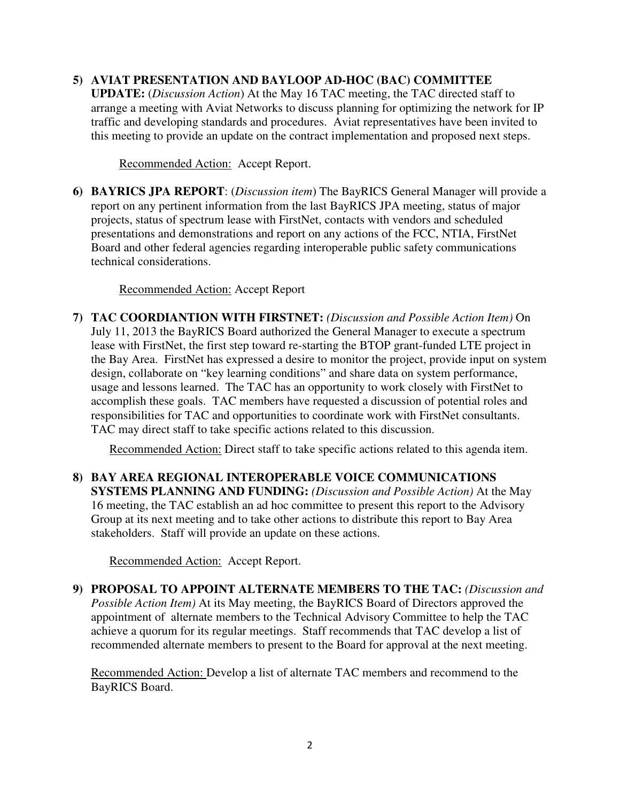## **5) AVIAT PRESENTATION AND BAYLOOP AD-HOC (BAC) COMMITTEE**

**UPDATE:** (*Discussion Action*) At the May 16 TAC meeting, the TAC directed staff to arrange a meeting with Aviat Networks to discuss planning for optimizing the network for IP traffic and developing standards and procedures. Aviat representatives have been invited to this meeting to provide an update on the contract implementation and proposed next steps.

Recommended Action: Accept Report.

**6) BAYRICS JPA REPORT**: (*Discussion item*) The BayRICS General Manager will provide a report on any pertinent information from the last BayRICS JPA meeting, status of major projects, status of spectrum lease with FirstNet, contacts with vendors and scheduled presentations and demonstrations and report on any actions of the FCC, NTIA, FirstNet Board and other federal agencies regarding interoperable public safety communications technical considerations.

Recommended Action: Accept Report

**7) TAC COORDIANTION WITH FIRSTNET:** *(Discussion and Possible Action Item)* On July 11, 2013 the BayRICS Board authorized the General Manager to execute a spectrum lease with FirstNet, the first step toward re-starting the BTOP grant-funded LTE project in the Bay Area. FirstNet has expressed a desire to monitor the project, provide input on system design, collaborate on "key learning conditions" and share data on system performance, usage and lessons learned. The TAC has an opportunity to work closely with FirstNet to accomplish these goals. TAC members have requested a discussion of potential roles and responsibilities for TAC and opportunities to coordinate work with FirstNet consultants. TAC may direct staff to take specific actions related to this discussion.

Recommended Action: Direct staff to take specific actions related to this agenda item.

**8) BAY AREA REGIONAL INTEROPERABLE VOICE COMMUNICATIONS SYSTEMS PLANNING AND FUNDING:** *(Discussion and Possible Action)* At the May 16 meeting, the TAC establish an ad hoc committee to present this report to the Advisory Group at its next meeting and to take other actions to distribute this report to Bay Area stakeholders. Staff will provide an update on these actions.

Recommended Action: Accept Report.

**9) PROPOSAL TO APPOINT ALTERNATE MEMBERS TO THE TAC:** *(Discussion and Possible Action Item)* At its May meeting, the BayRICS Board of Directors approved the appointment of alternate members to the Technical Advisory Committee to help the TAC achieve a quorum for its regular meetings. Staff recommends that TAC develop a list of recommended alternate members to present to the Board for approval at the next meeting.

Recommended Action: Develop a list of alternate TAC members and recommend to the BayRICS Board.